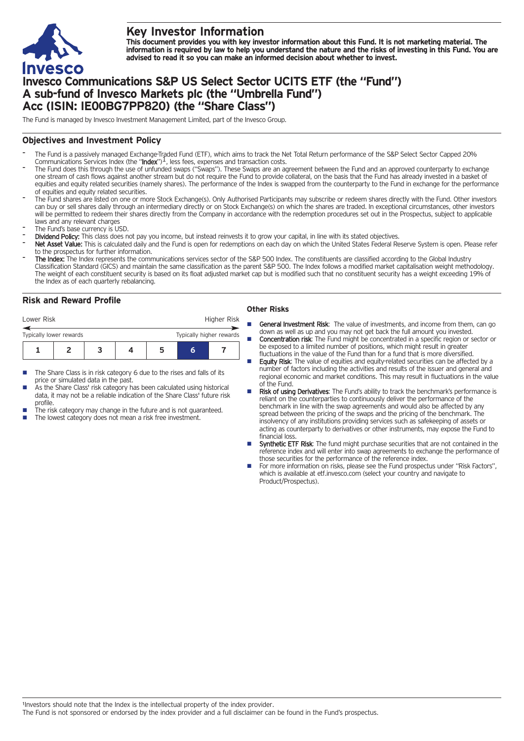

# **Key Investor Information**

This document provides you with key investor information about this Fund. It is not marketing material. The information is required by law to help you understand the nature and the risks of investing in this Fund. You are **advised to read it so you can make an informed decision about whether to invest.**

## **Invesco Communications S&P US Select Sector UCITS ETF (the "Fund") A sub-fund of Invesco Markets plc (the "Umbrella Fund") Acc (ISIN: IE00BG7PP820) (the "Share Class")**

The Fund is managed by Invesco Investment Management Limited, part of the Invesco Group.

#### **Objectives and Investment Policy**

- The Fund is a passively managed Exchange-Traded Fund (ETF), which aims to track the Net Total Return performance of the S&P Select Sector Capped 20%<br>Communications Services Index (the "**Index**")<sup>1</sup>, less fees, expenses and
- The Fund does this through the use of unfunded swaps ("Swaps"). These Swaps are an agreement between the Fund and an approved counterparty to exchange one stream of cash flows against another stream but do not require the Fund to provide collateral, on the basis that the Fund has already invested in a basket of equities and equity related securities (namely shares). The performance of the Index is swapped from the counterparty to the Fund in exchange for the performance of equities and equity related securities.
- The Fund shares are listed on one or more Stock Exchange(s). Only Authorised Participants may subscribe or redeem shares directly with the Fund. Other investors can buy or sell shares daily through an intermediary directly or on Stock Exchange(s) on which the shares are traded. In exceptional circumstances, other investors will be permitted to redeem their shares directly from the Company in accordance with the redemption procedures set out in the Prospectus, subject to applicable laws and any relevant charges
- The Fund's base currency is USD.
- Dividend Policy: This class does not pay you income, but instead reinvests it to grow your capital, in line with its stated objectives.
- Net Asset Value: This is calculated daily and the Fund is open for redemptions on each day on which the United States Federal Reserve System is open. Please refer to the prospectus for further information.
- The Index: The Index represents the communications services sector of the S&P 500 Index. The constituents are classified according to the Global Industry Classification Standard (GICS) and maintain the same classification as the parent S&P 500. The Index follows a modified market capitalisation weight methodology. The weight of each constituent security is based on its float adjusted market cap but is modified such that no constituent security has a weight exceeding 19% of the Index as of each quarterly rebalancing.

### **Risk and Reward Profile**

| Lower Risk              |  |  |  |  |                          | Higher Risk |  |
|-------------------------|--|--|--|--|--------------------------|-------------|--|
| Typically lower rewards |  |  |  |  | Typically higher rewards |             |  |
|                         |  |  |  |  |                          |             |  |

- The Share Class is in risk category 6 due to the rises and falls of its price or simulated data in the past.
- As the Share Class' risk category has been calculated using historical data, it may not be a reliable indication of the Share Class' future risk profile.
- The risk category may change in the future and is not guaranteed.
- The lowest category does not mean a risk free investment.

#### **Other Risks**

- General Investment Risk: The value of investments, and income from them, can go down as well as up and you may not get back the full amount you invested.
- **Concentration risk:** The Fund might be concentrated in a specific region or sector or be exposed to a limited number of positions, which might result in greater fluctuations in the value of the Fund than for a fund that is more diversified.
- Equity Risk: The value of equities and equity-related securities can be affected by a number of factors including the activities and results of the issuer and general and regional economic and market conditions. This may result in fluctuations in the value of the Fund.
- Risk of using Derivatives: The Fund's ability to track the benchmark's performance is reliant on the counterparties to continuously deliver the performance of the benchmark in line with the swap agreements and would also be affected by any spread between the pricing of the swaps and the pricing of the benchmark. The insolvency of any institutions providing services such as safekeeping of assets or acting as counterparty to derivatives or other instruments, may expose the Fund to financial loss.
- Synthetic ETF Risk: The fund might purchase securities that are not contained in the reference index and will enter into swap agreements to exchange the performance of those securities for the performance of the reference index.
- For more information on risks, please see the Fund prospectus under "Risk Factors", which is available at etf.invesco.com (select your country and navigate to Product/Prospectus).